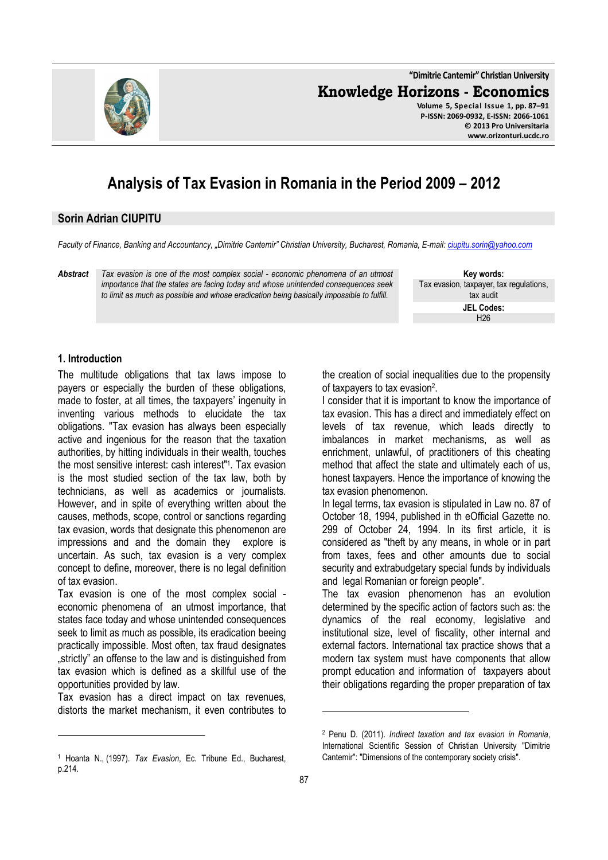**"Dimitrie Cantemir" Christian University Knowledge Horizons - Economics**



**Volume 5, Special Issue 1, pp. 87–91 P-ISSN: 2069-0932, E-ISSN: 2066-1061 © 2013 Pro Universitaria www.orizonturi.ucdc.ro**

# **Analysis of Tax Evasion in Romania in the Period 2009 – 2012**

#### **Sorin Adrian CIUPITU**

*Faculty of Finance, Banking and Accountancy, "Dimitrie Cantemir" Christian University, Bucharest, Romania, E-mail: ciupitu.sorin@yahoo.com*

*Abstract Tax evasion is one of the most complex social - economic phenomena of an utmost importance that the states are facing today and whose unintended consequences seek to limit as much as possible and whose eradication being basically impossible to fulfill.* 

**Key words:** Tax evasion, taxpayer, tax regulations, tax audit **JEL Codes:** H26

#### **1. Introduction**

 $\overline{a}$ 

The multitude obligations that tax laws impose to payers or especially the burden of these obligations, made to foster, at all times, the taxpayers' ingenuity in inventing various methods to elucidate the tax obligations. "Tax evasion has always been especially active and ingenious for the reason that the taxation authorities, by hitting individuals in their wealth, touches the most sensitive interest: cash interest"<sup>1</sup> . Tax evasion is the most studied section of the tax law, both by technicians, as well as academics or journalists. However, and in spite of everything written about the causes, methods, scope, control or sanctions regarding tax evasion, words that designate this phenomenon are impressions and and the domain they explore is uncertain. As such, tax evasion is a very complex concept to define, moreover, there is no legal definition of tax evasion.

Tax evasion is one of the most complex social economic phenomena of an utmost importance, that states face today and whose unintended consequences seek to limit as much as possible, its eradication beeing practically impossible. Most often, tax fraud designates "strictly" an offense to the law and is distinguished from tax evasion which is defined as a skillful use of the opportunities provided by law.

Tax evasion has a direct impact on tax revenues, distorts the market mechanism, it even contributes to the creation of social inequalities due to the propensity of taxpayers to tax evasion<sup>2</sup>.

I consider that it is important to know the importance of tax evasion. This has a direct and immediately effect on levels of tax revenue, which leads directly to imbalances in market mechanisms, as well as enrichment, unlawful, of practitioners of this cheating method that affect the state and ultimately each of us, honest taxpayers. Hence the importance of knowing the tax evasion phenomenon.

In legal terms, tax evasion is stipulated in Law no. 87 of October 18, 1994, published in th eOfficial Gazette no. 299 of October 24, 1994. In its first article, it is considered as "theft by any means, in whole or in part from taxes, fees and other amounts due to social security and extrabudgetary special funds by individuals and legal Romanian or foreign people".

The tax evasion phenomenon has an evolution determined by the specific action of factors such as: the dynamics of the real economy, legislative and institutional size, level of fiscality, other internal and external factors. International tax practice shows that a modern tax system must have components that allow prompt education and information of taxpayers about their obligations regarding the proper preparation of tax

l

<sup>1</sup> Hoanta N., (1997). *Tax Evasion*, Ec. Tribune Ed., Bucharest, p.214.

<sup>2</sup> Penu D. (2011). *Indirect taxation and tax evasion in Romania*, International Scientific Session of Christian University "Dimitrie Cantemir": "Dimensions of the contemporary society crisis".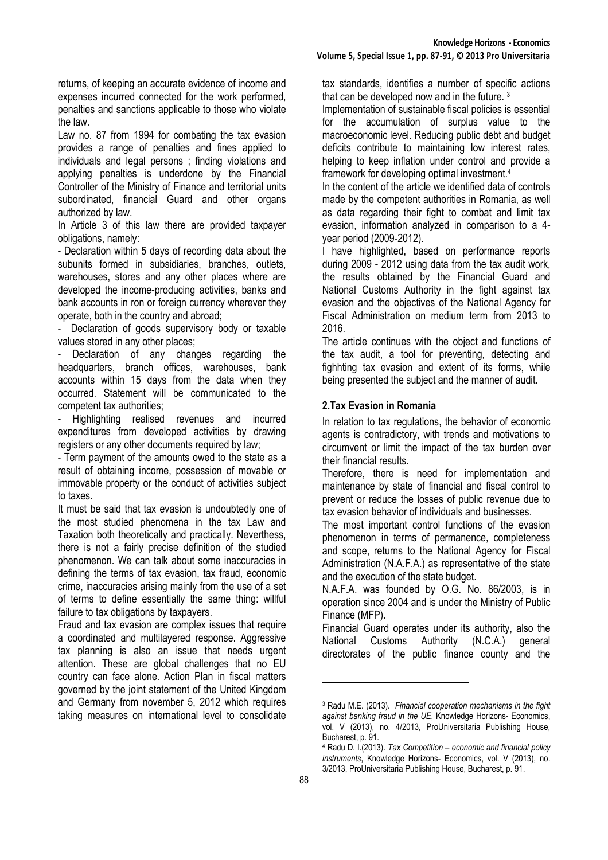returns, of keeping an accurate evidence of income and expenses incurred connected for the work performed, penalties and sanctions applicable to those who violate the law.

Law no. 87 from 1994 for combating the tax evasion provides a range of penalties and fines applied to individuals and legal persons ; finding violations and applying penalties is underdone by the Financial Controller of the Ministry of Finance and territorial units subordinated, financial Guard and other organs authorized by law.

In Article 3 of this law there are provided taxpayer obligations, namely:

- Declaration within 5 days of recording data about the subunits formed in subsidiaries, branches, outlets, warehouses, stores and any other places where are developed the income-producing activities, banks and bank accounts in ron or foreign currency wherever they operate, both in the country and abroad;

- Declaration of goods supervisory body or taxable values stored in any other places;

Declaration of any changes regarding the headquarters, branch offices, warehouses, bank accounts within 15 days from the data when they occurred. Statement will be communicated to the competent tax authorities;

- Highlighting realised revenues and incurred expenditures from developed activities by drawing registers or any other documents required by law;

- Term payment of the amounts owed to the state as a result of obtaining income, possession of movable or immovable property or the conduct of activities subject to taxes.

It must be said that tax evasion is undoubtedly one of the most studied phenomena in the tax Law and Taxation both theoretically and practically. Neverthess, there is not a fairly precise definition of the studied phenomenon. We can talk about some inaccuracies in defining the terms of tax evasion, tax fraud, economic crime, inaccuracies arising mainly from the use of a set of terms to define essentially the same thing: willful failure to tax obligations by taxpayers.

Fraud and tax evasion are complex issues that require a coordinated and multilayered response. Aggressive tax planning is also an issue that needs urgent attention. These are global challenges that no EU country can face alone. Action Plan in fiscal matters governed by the joint statement of the United Kingdom and Germany from november 5, 2012 which requires taking measures on international level to consolidate

tax standards, identifies a number of specific actions that can be developed now and in the future. <sup>3</sup>

Implementation of sustainable fiscal policies is essential for the accumulation of surplus value to the macroeconomic level. Reducing public debt and budget deficits contribute to maintaining low interest rates, helping to keep inflation under control and provide a framework for developing optimal investment.<sup>4</sup>

In the content of the article we identified data of controls made by the competent authorities in Romania, as well as data regarding their fight to combat and limit tax evasion, information analyzed in comparison to a 4 year period (2009-2012).

I have highlighted, based on performance reports during 2009 - 2012 using data from the tax audit work, the results obtained by the Financial Guard and National Customs Authority in the fight against tax evasion and the objectives of the National Agency for Fiscal Administration on medium term from 2013 to 2016.

The article continues with the object and functions of the tax audit, a tool for preventing, detecting and fighhting tax evasion and extent of its forms, while being presented the subject and the manner of audit.

## **2.Tax Evasion in Romania**

In relation to tax regulations, the behavior of economic agents is contradictory, with trends and motivations to circumvent or limit the impact of the tax burden over their financial results.

Therefore, there is need for implementation and maintenance by state of financial and fiscal control to prevent or reduce the losses of public revenue due to tax evasion behavior of individuals and businesses.

The most important control functions of the evasion phenomenon in terms of permanence, completeness and scope, returns to the National Agency for Fiscal Administration (N.A.F.A.) as representative of the state and the execution of the state budget.

N.A.F.A. was founded by O.G. No. 86/2003, is in operation since 2004 and is under the Ministry of Public Finance (MFP).

Financial Guard operates under its authority, also the National Customs Authority (N.C.A.) general directorates of the public finance county and the

l

<sup>3</sup> Radu M.E. (2013). *Financial cooperation mechanisms in the fight against banking fraud in the UE*, Knowledge Horizons- Economics, vol. V (2013), no. 4/2013, ProUniversitaria Publishing House, Bucharest, p. 91.

<sup>4</sup> Radu D. I.(2013). *Tax Competition – economic and financial policy instruments*, Knowledge Horizons- Economics, vol. V (2013), no. 3/2013, ProUniversitaria Publishing House, Bucharest, p. 91.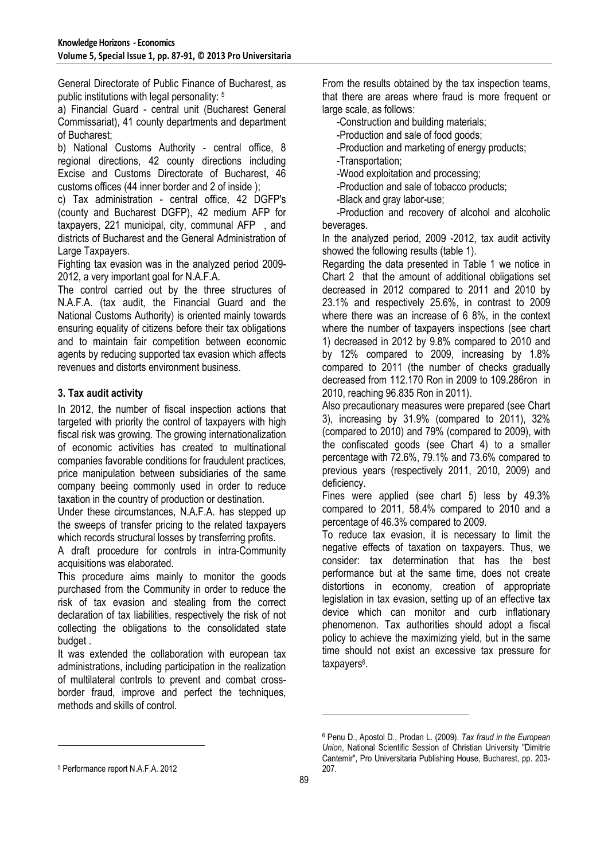General Directorate of Public Finance of Bucharest, as public institutions with legal personality: <sup>5</sup>

a) Financial Guard - central unit (Bucharest General Commissariat), 41 county departments and department of Bucharest;

b) National Customs Authority - central office, 8 regional directions, 42 county directions including Excise and Customs Directorate of Bucharest, 46 customs offices (44 inner border and 2 of inside );

c) Tax administration - central office, 42 DGFP's (county and Bucharest DGFP), 42 medium AFP for taxpayers, 221 municipal, city, communal AFP , and districts of Bucharest and the General Administration of Large Taxpayers.

Fighting tax evasion was in the analyzed period 2009- 2012, a very important goal for N.A.F.A.

The control carried out by the three structures of N.A.F.A. (tax audit, the Financial Guard and the National Customs Authority) is oriented mainly towards ensuring equality of citizens before their tax obligations and to maintain fair competition between economic agents by reducing supported tax evasion which affects revenues and distorts environment business.

## **3. Tax audit activity**

In 2012, the number of fiscal inspection actions that targeted with priority the control of taxpayers with high fiscal risk was growing. The growing internationalization of economic activities has created to multinational companies favorable conditions for fraudulent practices, price manipulation between subsidiaries of the same company beeing commonly used in order to reduce taxation in the country of production or destination.

Under these circumstances, N.A.F.A. has stepped up the sweeps of transfer pricing to the related taxpayers which records structural losses by transferring profits.

A draft procedure for controls in intra-Community acquisitions was elaborated.

This procedure aims mainly to monitor the goods purchased from the Community in order to reduce the risk of tax evasion and stealing from the correct declaration of tax liabilities, respectively the risk of not collecting the obligations to the consolidated state budget .

It was extended the collaboration with european tax administrations, including participation in the realization of multilateral controls to prevent and combat crossborder fraud, improve and perfect the techniques, methods and skills of control.

From the results obtained by the tax inspection teams, that there are areas where fraud is more frequent or large scale, as follows:

-Construction and building materials;

-Production and sale of food goods;

-Production and marketing of energy products;

-Transportation;

-Wood exploitation and processing;

-Production and sale of tobacco products;

-Black and gray labor-use;

-Production and recovery of alcohol and alcoholic beverages.

In the analyzed period, 2009 -2012, tax audit activity showed the following results (table 1).

Regarding the data presented in Table 1 we notice in Chart 2 that the amount of additional obligations set decreased in 2012 compared to 2011 and 2010 by 23.1% and respectively 25.6%, in contrast to 2009 where there was an increase of 6 8%, in the context where the number of taxpayers inspections (see chart 1) decreased in 2012 by 9.8% compared to 2010 and by 12% compared to 2009, increasing by 1.8% compared to 2011 (the number of checks gradually decreased from 112.170 Ron in 2009 to 109.286ron in 2010, reaching 96.835 Ron in 2011).

Also precautionary measures were prepared (see Chart 3), increasing by 31.9% (compared to 2011), 32% (compared to 2010) and 79% (compared to 2009), with the confiscated goods (see Chart 4) to a smaller percentage with 72.6%, 79.1% and 73.6% compared to previous years (respectively 2011, 2010, 2009) and deficiency.

Fines were applied (see chart 5) less by 49.3% compared to 2011, 58.4% compared to 2010 and a percentage of 46.3% compared to 2009.

To reduce tax evasion, it is necessary to limit the negative effects of taxation on taxpayers. Thus, we consider: tax determination that has the best performance but at the same time, does not create distortions in economy, creation of appropriate legislation in tax evasion, setting up of an effective tax device which can monitor and curb inflationary phenomenon. Tax authorities should adopt a fiscal policy to achieve the maximizing yield, but in the same time should not exist an excessive tax pressure for taxpayers<sup>6</sup>.

l

 $\overline{a}$ 

<sup>6</sup> Penu D., Apostol D., Prodan L. (2009). *Tax fraud in the European Union*, National Scientific Session of Christian University "Dimitrie Cantemir", Pro Universitaria Publishing House, Bucharest, pp. 203- 207.

<sup>5</sup> Performance report N.A.F.A. 2012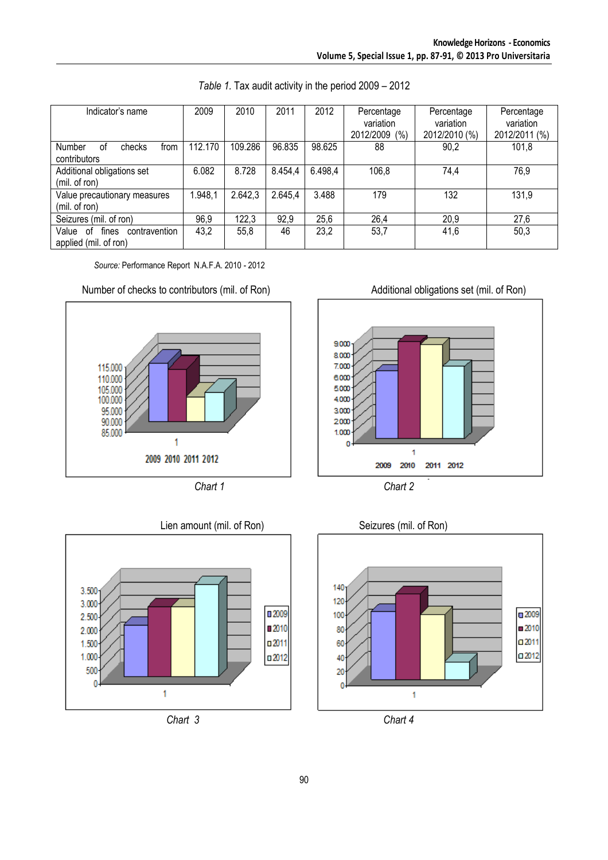| Indicator's name                                               | 2009    | 2010    | 2011    | 2012    | Percentage<br>variation | Percentage<br>variation | Percentage<br>variation |
|----------------------------------------------------------------|---------|---------|---------|---------|-------------------------|-------------------------|-------------------------|
|                                                                |         |         |         |         | (% )<br>2012/2009       | 2012/2010 (%)           | 2012/2011 (%)           |
| <b>Number</b><br>οf<br>checks<br>from<br>contributors          | 112.170 | 109.286 | 96.835  | 98.625  | 88                      | 90,2                    | 101,8                   |
| Additional obligations set                                     | 6.082   | 8.728   | 8.454,4 | 6.498,4 | 106,8                   | 74,4                    | 76,9                    |
| (mil. of ron)                                                  |         |         |         |         |                         |                         |                         |
| Value precautionary measures<br>(mil. of ron)                  | 1.948,1 | 2.642,3 | 2.645,4 | 3.488   | 179                     | 132                     | 131,9                   |
| Seizures (mil. of ron)                                         | 96,9    | 122,3   | 92,9    | 25,6    | 26,4                    | 20,9                    | 27,6                    |
| fines<br>Value<br>0f<br>contravention<br>applied (mil. of ron) | 43,2    | 55,8    | 46      | 23,2    | 53,7                    | 41,6                    | 50,3                    |

*Table 1.* Tax audit activity in the period 2009 – 2012

*Source:* Performance Report N.A.F.A. 2010 - 2012